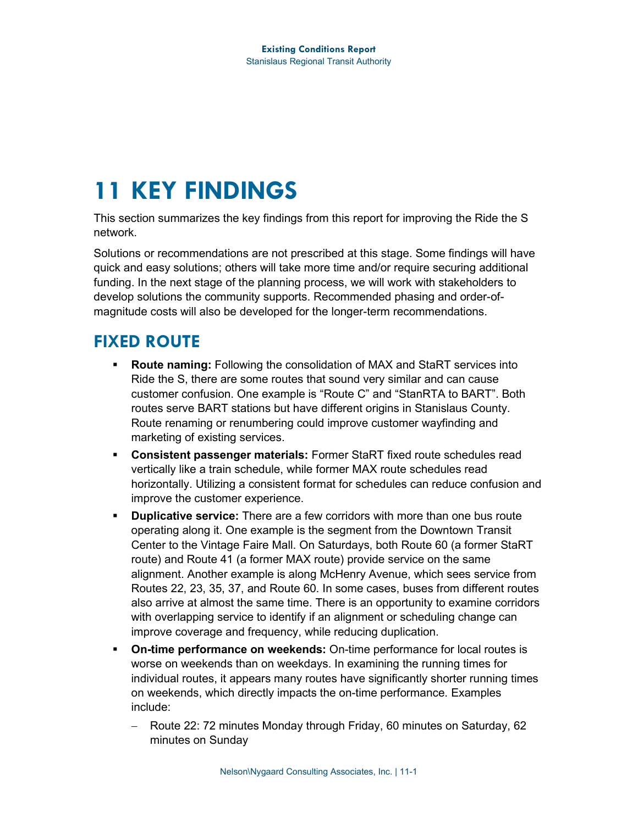# **11 KEY FINDINGS**

This section summarizes the key findings from this report for improving the Ride the S network.

Solutions or recommendations are not prescribed at this stage. Some findings will have quick and easy solutions; others will take more time and/or require securing additional funding. In the next stage of the planning process, we will work with stakeholders to develop solutions the community supports. Recommended phasing and order-ofmagnitude costs will also be developed for the longer-term recommendations.

# **FIXED ROUTE**

- **Route naming:** Following the consolidation of MAX and StaRT services into Ride the S, there are some routes that sound very similar and can cause customer confusion. One example is "Route C" and "StanRTA to BART". Both routes serve BART stations but have different origins in Stanislaus County. Route renaming or renumbering could improve customer wayfinding and marketing of existing services.
- **Consistent passenger materials:** Former StaRT fixed route schedules read vertically like a train schedule, while former MAX route schedules read horizontally. Utilizing a consistent format for schedules can reduce confusion and improve the customer experience.
- **Duplicative service:** There are a few corridors with more than one bus route operating along it. One example is the segment from the Downtown Transit Center to the Vintage Faire Mall. On Saturdays, both Route 60 (a former StaRT route) and Route 41 (a former MAX route) provide service on the same alignment. Another example is along McHenry Avenue, which sees service from Routes 22, 23, 35, 37, and Route 60. In some cases, buses from different routes also arrive at almost the same time. There is an opportunity to examine corridors with overlapping service to identify if an alignment or scheduling change can improve coverage and frequency, while reducing duplication.
- **On-time performance on weekends:** On-time performance for local routes is worse on weekends than on weekdays. In examining the running times for individual routes, it appears many routes have significantly shorter running times on weekends, which directly impacts the on-time performance. Examples include:
	- − Route 22: 72 minutes Monday through Friday, 60 minutes on Saturday, 62 minutes on Sunday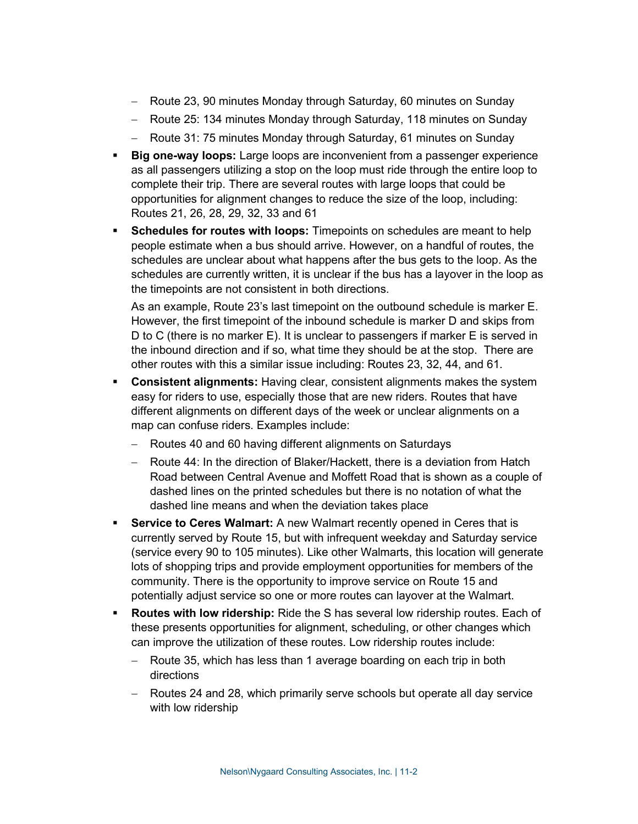- − Route 23, 90 minutes Monday through Saturday, 60 minutes on Sunday
- − Route 25: 134 minutes Monday through Saturday, 118 minutes on Sunday
- − Route 31: 75 minutes Monday through Saturday, 61 minutes on Sunday
- **Big one-way loops:** Large loops are inconvenient from a passenger experience as all passengers utilizing a stop on the loop must ride through the entire loop to complete their trip. There are several routes with large loops that could be opportunities for alignment changes to reduce the size of the loop, including: Routes 21, 26, 28, 29, 32, 33 and 61
- **Schedules for routes with loops:** Timepoints on schedules are meant to help people estimate when a bus should arrive. However, on a handful of routes, the schedules are unclear about what happens after the bus gets to the loop. As the schedules are currently written, it is unclear if the bus has a layover in the loop as the timepoints are not consistent in both directions.

As an example, Route 23's last timepoint on the outbound schedule is marker E. However, the first timepoint of the inbound schedule is marker D and skips from D to C (there is no marker E). It is unclear to passengers if marker E is served in the inbound direction and if so, what time they should be at the stop. There are other routes with this a similar issue including: Routes 23, 32, 44, and 61.

- **Consistent alignments:** Having clear, consistent alignments makes the system easy for riders to use, especially those that are new riders. Routes that have different alignments on different days of the week or unclear alignments on a map can confuse riders. Examples include:
	- − Routes 40 and 60 having different alignments on Saturdays
	- − Route 44: In the direction of Blaker/Hackett, there is a deviation from Hatch Road between Central Avenue and Moffett Road that is shown as a couple of dashed lines on the printed schedules but there is no notation of what the dashed line means and when the deviation takes place
- **Service to Ceres Walmart:** A new Walmart recently opened in Ceres that is currently served by Route 15, but with infrequent weekday and Saturday service (service every 90 to 105 minutes). Like other Walmarts, this location will generate lots of shopping trips and provide employment opportunities for members of the community. There is the opportunity to improve service on Route 15 and potentially adjust service so one or more routes can layover at the Walmart.
- **Routes with low ridership:** Ride the S has several low ridership routes. Each of these presents opportunities for alignment, scheduling, or other changes which can improve the utilization of these routes. Low ridership routes include:
	- − Route 35, which has less than 1 average boarding on each trip in both directions
	- − Routes 24 and 28, which primarily serve schools but operate all day service with low ridership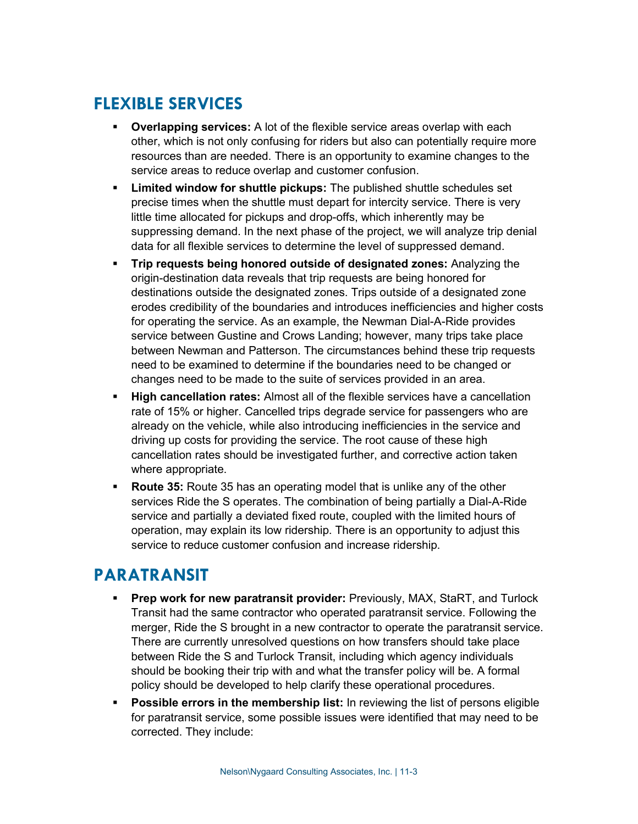## **FLEXIBLE SERVICES**

- **Overlapping services:** A lot of the flexible service areas overlap with each other, which is not only confusing for riders but also can potentially require more resources than are needed. There is an opportunity to examine changes to the service areas to reduce overlap and customer confusion.
- **Limited window for shuttle pickups:** The published shuttle schedules set precise times when the shuttle must depart for intercity service. There is very little time allocated for pickups and drop-offs, which inherently may be suppressing demand. In the next phase of the project, we will analyze trip denial data for all flexible services to determine the level of suppressed demand.
- **Trip requests being honored outside of designated zones:** Analyzing the origin-destination data reveals that trip requests are being honored for destinations outside the designated zones. Trips outside of a designated zone erodes credibility of the boundaries and introduces inefficiencies and higher costs for operating the service. As an example, the Newman Dial-A-Ride provides service between Gustine and Crows Landing; however, many trips take place between Newman and Patterson. The circumstances behind these trip requests need to be examined to determine if the boundaries need to be changed or changes need to be made to the suite of services provided in an area.
- **High cancellation rates:** Almost all of the flexible services have a cancellation rate of 15% or higher. Cancelled trips degrade service for passengers who are already on the vehicle, while also introducing inefficiencies in the service and driving up costs for providing the service. The root cause of these high cancellation rates should be investigated further, and corrective action taken where appropriate.
- **Route 35:** Route 35 has an operating model that is unlike any of the other services Ride the S operates. The combination of being partially a Dial-A-Ride service and partially a deviated fixed route, coupled with the limited hours of operation, may explain its low ridership. There is an opportunity to adjust this service to reduce customer confusion and increase ridership.

#### **PARATRANSIT**

- **Prep work for new paratransit provider:** Previously, MAX, StaRT, and Turlock Transit had the same contractor who operated paratransit service. Following the merger, Ride the S brought in a new contractor to operate the paratransit service. There are currently unresolved questions on how transfers should take place between Ride the S and Turlock Transit, including which agency individuals should be booking their trip with and what the transfer policy will be. A formal policy should be developed to help clarify these operational procedures.
- **Possible errors in the membership list:** In reviewing the list of persons eligible for paratransit service, some possible issues were identified that may need to be corrected. They include: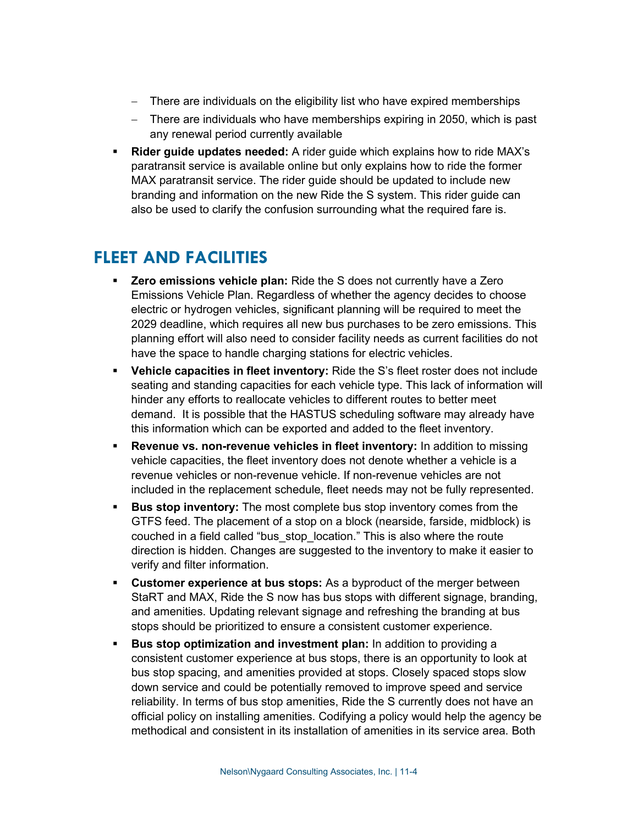- − There are individuals on the eligibility list who have expired memberships
- − There are individuals who have memberships expiring in 2050, which is past any renewal period currently available
- **Rider guide updates needed:** A rider guide which explains how to ride MAX's paratransit service is available online but only explains how to ride the former MAX paratransit service. The rider guide should be updated to include new branding and information on the new Ride the S system. This rider guide can also be used to clarify the confusion surrounding what the required fare is.

#### **FLEET AND FACILITIES**

- **Zero emissions vehicle plan:** Ride the S does not currently have a Zero Emissions Vehicle Plan. Regardless of whether the agency decides to choose electric or hydrogen vehicles, significant planning will be required to meet the 2029 deadline, which requires all new bus purchases to be zero emissions. This planning effort will also need to consider facility needs as current facilities do not have the space to handle charging stations for electric vehicles.
- **Vehicle capacities in fleet inventory:** Ride the S's fleet roster does not include seating and standing capacities for each vehicle type. This lack of information will hinder any efforts to reallocate vehicles to different routes to better meet demand. It is possible that the HASTUS scheduling software may already have this information which can be exported and added to the fleet inventory.
- **Revenue vs. non-revenue vehicles in fleet inventory:** In addition to missing vehicle capacities, the fleet inventory does not denote whether a vehicle is a revenue vehicles or non-revenue vehicle. If non-revenue vehicles are not included in the replacement schedule, fleet needs may not be fully represented.
- **Bus stop inventory:** The most complete bus stop inventory comes from the GTFS feed. The placement of a stop on a block (nearside, farside, midblock) is couched in a field called "bus stop location." This is also where the route direction is hidden. Changes are suggested to the inventory to make it easier to verify and filter information.
- **Customer experience at bus stops:** As a byproduct of the merger between StaRT and MAX, Ride the S now has bus stops with different signage, branding, and amenities. Updating relevant signage and refreshing the branding at bus stops should be prioritized to ensure a consistent customer experience.
- **Bus stop optimization and investment plan:** In addition to providing a consistent customer experience at bus stops, there is an opportunity to look at bus stop spacing, and amenities provided at stops. Closely spaced stops slow down service and could be potentially removed to improve speed and service reliability. In terms of bus stop amenities, Ride the S currently does not have an official policy on installing amenities. Codifying a policy would help the agency be methodical and consistent in its installation of amenities in its service area. Both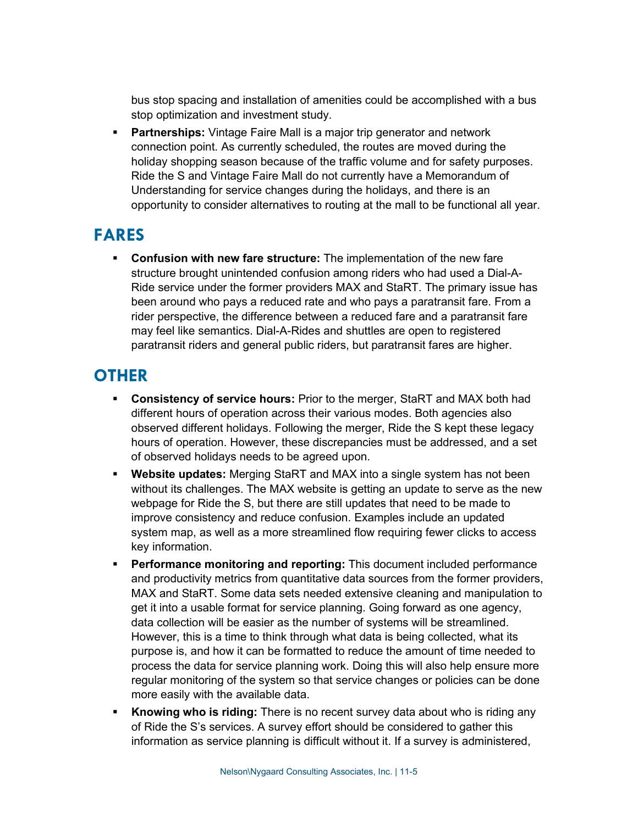bus stop spacing and installation of amenities could be accomplished with a bus stop optimization and investment study.

 **Partnerships:** Vintage Faire Mall is a major trip generator and network connection point. As currently scheduled, the routes are moved during the holiday shopping season because of the traffic volume and for safety purposes. Ride the S and Vintage Faire Mall do not currently have a Memorandum of Understanding for service changes during the holidays, and there is an opportunity to consider alternatives to routing at the mall to be functional all year.

## **FARES**

 **Confusion with new fare structure:** The implementation of the new fare structure brought unintended confusion among riders who had used a Dial-A-Ride service under the former providers MAX and StaRT. The primary issue has been around who pays a reduced rate and who pays a paratransit fare. From a rider perspective, the difference between a reduced fare and a paratransit fare may feel like semantics. Dial-A-Rides and shuttles are open to registered paratransit riders and general public riders, but paratransit fares are higher.

## **OTHER**

- **Consistency of service hours:** Prior to the merger, StaRT and MAX both had different hours of operation across their various modes. Both agencies also observed different holidays. Following the merger, Ride the S kept these legacy hours of operation. However, these discrepancies must be addressed, and a set of observed holidays needs to be agreed upon.
- **Website updates:** Merging StaRT and MAX into a single system has not been without its challenges. The MAX website is getting an update to serve as the new webpage for Ride the S, but there are still updates that need to be made to improve consistency and reduce confusion. Examples include an updated system map, as well as a more streamlined flow requiring fewer clicks to access key information.
- **Performance monitoring and reporting:** This document included performance and productivity metrics from quantitative data sources from the former providers, MAX and StaRT. Some data sets needed extensive cleaning and manipulation to get it into a usable format for service planning. Going forward as one agency, data collection will be easier as the number of systems will be streamlined. However, this is a time to think through what data is being collected, what its purpose is, and how it can be formatted to reduce the amount of time needed to process the data for service planning work. Doing this will also help ensure more regular monitoring of the system so that service changes or policies can be done more easily with the available data.
- **Knowing who is riding:** There is no recent survey data about who is riding any of Ride the S's services. A survey effort should be considered to gather this information as service planning is difficult without it. If a survey is administered,